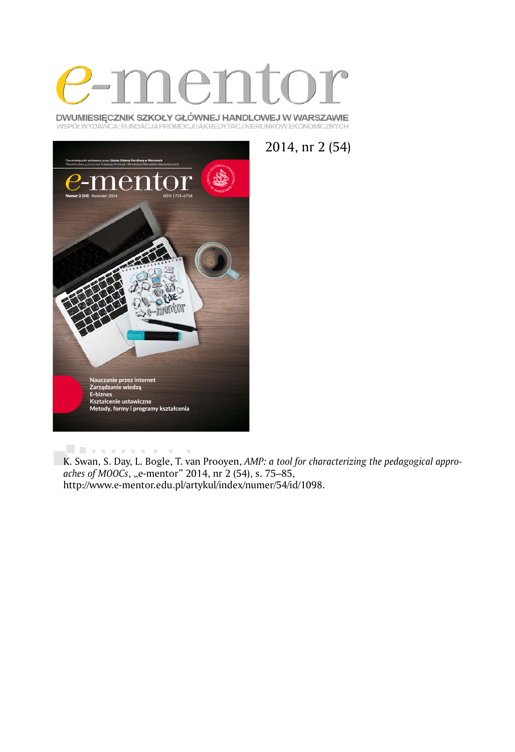

DWUMIESIĘCZNIK SZKOŁY GŁÓWNEJ HANDLOWEJ W WARSZAWIE WSPÓŁWYDAWCA: FUNDACJA PROMOCJI I AKREDYTACJ KIERUNKÓW EKONOMICZNYCH





. . . . . . . . . . . .

K. Swan, S. Day, L. Bogle, T. van Prooyen, *AMP: a tool for characterizing the pedagogical appro*aches of MOOCs, "e-mentor" 2014, nr 2 (54), s. 75–85, http://www.e-mentor.edu.pl/artykul/index/numer/54/id/1098.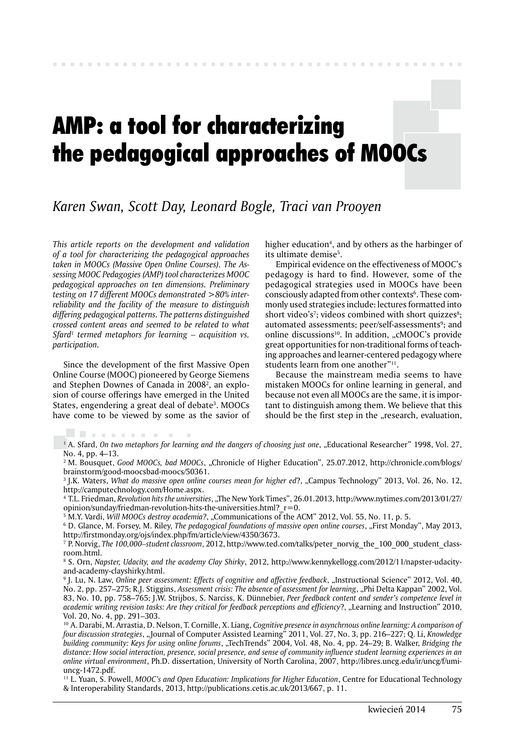# AMP: a tool for characterizing the pedagogical approaches of MOOCs

# *Karen Swan, Scott Day, Leonard Bogle, Traci van Prooyen*

*This article reports on the development and validation of a tool for characterizing the pedagogical approaches taken in MOOCs (Massive Open Online Courses). The Assessing MOOC Pedagogies (AMP) tool characterizes MOOC pedagogical approaches on ten dimensions. Preliminary testing on 17 different MOOCs demonstrated >80% interreliability and the facility of the measure to distinguish differing pedagogical patterns. The patterns distinguished crossed content areas and seemed to be related to what Sfard1 termed metaphors for learning – acquisition vs. participation.*

Since the development of the first Massive Open Online Course (MOOC) pioneered by George Siemens and Stephen Downes of Canada in 20082 , an explosion of course offerings have emerged in the United States, engendering a great deal of debate<sup>3</sup>. MOOCs have come to be viewed by some as the savior of

. . . . . . . . .

higher education<sup>4</sup>, and by others as the harbinger of its ultimate demise<sup>5</sup>.

Empirical evidence on the effectiveness of MOOC's pedagogy is hard to find. However, some of the pedagogical strategies used in MOOCs have been consciously adapted from other contexts<sup>6</sup>. These commonly used strategies include: lectures formatted into short video's<sup>7</sup>; videos combined with short quizzes<sup>8</sup>; automated assessments; peer/self-assessments<sup>9</sup>; and online discussions<sup>10</sup>. In addition, "cMOOC's provide great opportunities for non-traditional forms of teaching approaches and learner-centered pedagogy where students learn from one another"<sup>11</sup>.

Because the mainstream media seems to have mistaken MOOCs for online learning in general, and because not even all MOOCs are the same, it is important to distinguish among them. We believe that this should be the first step in the "research, evaluation,

<sup>1</sup> A. Sfard, *On two metaphors for learning and the dangers of choosing just one*, "Educational Researcher" 1998, Vol. 27, No. 4, pp. 4–13.

<sup>2</sup> M. Bousquet, *Good MOOCs, bad MOOCs*, "Chronicle of Higher Education", 25.07.2012, http://chronicle.com/blogs/ brainstorm/good-moocsbad-moocs/50361.

<sup>3</sup> J.K. Waters, *What do massive open online courses mean for higher ed?*, "Campus Technology" 2013, Vol. 26, No. 12, http://camputechnology.com/Home.aspx.

4 T.L. Friedman, *Revolution hits the universities*, "The New York Times", 26.01.2013, http://www.nytimes.com/2013/01/27/ opinion/sunday/friedman-revolution-hits-the-universities.html? $r=0$ .

<sup>5</sup> M.Y. Vardi, *Will MOOCs destroy academia?*, "Communications of the ACM" 2012, Vol. 55, No. 11, p. 5.

<sup>6</sup> D. Glance, M. Forsey, M. Riley, *The pedagogical foundations of massive open online courses*, "First Monday", May 2013, http://firstmonday.org/ojs/index.php/fm/article/view/4350/3673.

7 P. Norvig, *The 100,000–student classroom*, 2012, http://www.ted.com/talks/peter\_norvig\_the\_100\_000\_student\_classroom.html.

8 S. Orn, *Napster, Udacity, and the academy Clay Shirky*, 2012, http://www.kennykellogg.com/2012/11/napster-udacityand-academy-clayshirky.html.

<sup>9</sup> J. Lu, N. Law, *Online peer assessment: Effects of cognitive and affective feedback*, "Instructional Science" 2012, Vol. 40, No. 2, pp. 257–275; R.J. Stiggins, *Assessment crisis: The absence of assessment for learning*, "Phi Delta Kappan" 2002, Vol. 83, No. 10, pp. 758–765; J.W. Strijbos, S. Narciss, K. Dünnebier, *Peer feedback content and sender's competence level in*  academic writing revision tasks: Are they critical for feedback perceptions and efficiency?, "Learning and Instruction" 2010, Vol. 20, No. 4, pp. 291–303.

10 A. Darabi, M. Arrastia, D. Nelson, T. Cornille, X. Liang, *Cognitive presence in asynchrnous online learning: A comparison of four discussion strategies*, "Journal of Computer Assisted Learning" 2011, Vol. 27, No. 3, pp. 216–227; Q. Li, *Knowledge building community: Keys for using online forums*, "TechTrends" 2004, Vol. 48, No. 4, pp. 24–29; B. Walker, *Bridging the distance: How social interaction, presence, social presence, and sense of community influence student learning experiences in an online virtual environment*, Ph.D. dissertation, University of North Carolina, 2007, http://libres.uncg.edu/ir/uncg/f/umiuncg-1472.pdf.

11 L. Yuan, S. Powell, *MOOC's and Open Education: Implications for Higher Education*, Centre for Educational Technology & Interoperability Standards, 2013, http://publications.cetis.ac.uk/2013/667, p. 11.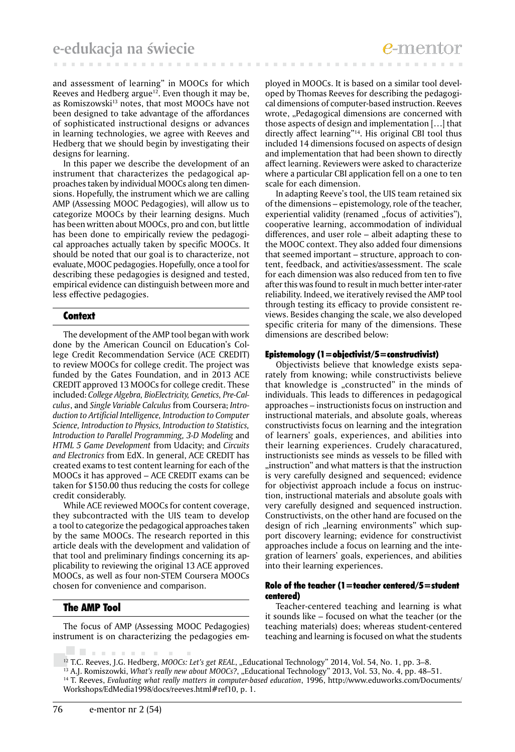and assessment of learning" in MOOCs for which Reeves and Hedberg argue<sup>12</sup>. Even though it may be, as Romiszowski<sup>13</sup> notes, that most MOOCs have not been designed to take advantage of the affordances of sophisticated instructional designs or advances in learning technologies, we agree with Reeves and Hedberg that we should begin by investigating their designs for learning.

In this paper we describe the development of an instrument that characterizes the pedagogical approaches taken by individual MOOCs along ten dimensions. Hopefully, the instrument which we are calling AMP (Assessing MOOC Pedagogies), will allow us to categorize MOOCs by their learning designs. Much has been written about MOOCs, pro and con, but little has been done to empirically review the pedagogical approaches actually taken by specific MOOCs. It should be noted that our goal is to characterize, not evaluate, MOOC pedagogies. Hopefully, once a tool for describing these pedagogies is designed and tested, empirical evidence can distinguish between more and less effective pedagogies.

# Context

The development of the AMP tool began with work done by the American Council on Education's College Credit Recommendation Service (ACE CREDIT) to review MOOCs for college credit. The project was funded by the Gates Foundation, and in 2013 ACE CREDIT approved 13 MOOCs for college credit. These included: *College Algebra, BioElectricity, Genetics, Pre-Calculus*, and *Single Variable Calculus* from Coursera; *Introduction to Artificial Intelligence, Introduction to Computer Science, Introduction to Physics, Introduction to Statistics, Introduction to Parallel Programming, 3-D Modeling* and *HTML 5 Game Development* from Udacity; and *Circuits and Electronics* from EdX. In general, ACE CREDIT has created exams to test content learning for each of the MOOCs it has approved – ACE CREDIT exams can be taken for \$150.00 thus reducing the costs for college credit considerably.

While ACE reviewed MOOCs for content coverage, they subcontracted with the UIS team to develop a tool to categorize the pedagogical approaches taken by the same MOOCs. The research reported in this article deals with the development and validation of that tool and preliminary findings concerning its applicability to reviewing the original 13 ACE approved MOOCs, as well as four non-STEM Coursera MOOCs chosen for convenience and comparison.

# The AMP Tool

. . . . . . .

The focus of AMP (Assessing MOOC Pedagogies) instrument is on characterizing the pedagogies em-

ployed in MOOCs. It is based on a similar tool developed by Thomas Reeves for describing the pedagogical dimensions of computer-based instruction. Reeves wrote, "Pedagogical dimensions are concerned with those aspects of design and implementation […] that directly affect learning"<sup>14</sup>. His original CBI tool thus included 14 dimensions focused on aspects of design and implementation that had been shown to directly affect learning. Reviewers were asked to characterize where a particular CBI application fell on a one to ten scale for each dimension.

In adapting Reeve's tool, the UIS team retained six of the dimensions – epistemology, role of the teacher, experiential validity (renamed "focus of activities"), cooperative learning, accommodation of individual differences, and user role – albeit adapting these to the MOOC context. They also added four dimensions that seemed important – structure, approach to content, feedback, and activities/assessment. The scale for each dimension was also reduced from ten to five after this was found to result in much better inter-rater reliability. Indeed, we iteratively revised the AMP tool through testing its efficacy to provide consistent reviews. Besides changing the scale, we also developed specific criteria for many of the dimensions. These dimensions are described below:

# Epistemology  $(1=$ objectivist/5=constructivist)

Objectivists believe that knowledge exists separately from knowing; while constructivists believe that knowledge is "constructed" in the minds of individuals. This leads to differences in pedagogical approaches – instructionists focus on instruction and instructional materials, and absolute goals, whereas constructivists focus on learning and the integration of learners' goals, experiences, and abilities into their learning experiences. Crudely characatured, instructionists see minds as vessels to be filled with "instruction" and what matters is that the instruction is very carefully designed and sequenced; evidence for objectivist approach include a focus on instruction, instructional materials and absolute goals with very carefully designed and sequenced instruction. Constructivists, on the other hand are focused on the design of rich "learning environments" which support discovery learning; evidence for constructivist approaches include a focus on learning and the integration of learners' goals, experiences, and abilities into their learning experiences.

# Role of the teacher  $(1=$  teacher centered/5  $=$  student centered)

Teacher-centered teaching and learning is what it sounds like – focused on what the teacher (or the teaching materials) does; whereas student-centered teaching and learning is focused on what the students

<sup>&</sup>lt;sup>12</sup> T.C. Reeves, J.G. Hedberg, *MOOCs: Let's get REAL*, "Educational Technology" 2014, Vol. 54, No. 1, pp. 3-8.

<sup>&</sup>lt;sup>13</sup> A.J. Romiszowki, *What's really new about MOOCs?*, "Educational Technology" 2013, Vol. 53, No. 4, pp. 48–51. 14 T. Reeves, *Evaluating what really matters in computer-based education*, 1996, http://www.eduworks.com/Documents/ Workshops/EdMedia1998/docs/reeves.html#ref10, p. 1.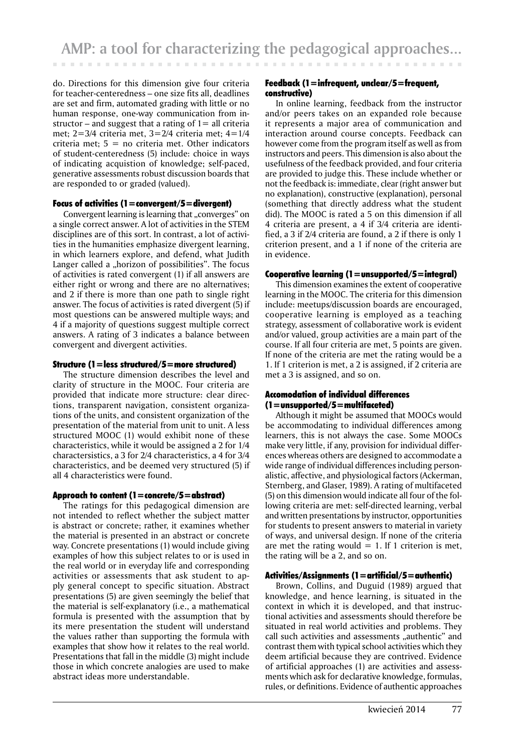do. Directions for this dimension give four criteria for teacher-centeredness – one size fits all, deadlines are set and firm, automated grading with little or no human response, one-way communication from instructor – and suggest that a rating of  $1=$  all criteria met; 2=3/4 criteria met, 3=2/4 criteria met; 4=1/4 criteria met;  $5 = no$  criteria met. Other indicators of student-centeredness (5) include: choice in ways of indicating acquistion of knowledge; self-paced, generative assessments robust discussion boards that are responded to or graded (valued).

#### Focus of activities  $(1=$  convergent $/5=$  divergent)

Convergent learning is learning that "converges" on a single correct answer. A lot of activities in the STEM disciplines are of this sort. In contrast, a lot of activities in the humanities emphasize divergent learning, in which learners explore, and defend, what Judith Langer called a "horizon of possibilities". The focus of activities is rated convergent (1) if all answers are either right or wrong and there are no alternatives; and 2 if there is more than one path to single right answer. The focus of activities is rated divergent (5) if most questions can be answered multiple ways; and 4 if a majority of questions suggest multiple correct answers. A rating of 3 indicates a balance between convergent and divergent activities.

# Structure (1=less structured/5=more structured)

The structure dimension describes the level and clarity of structure in the MOOC. Four criteria are provided that indicate more structure: clear directions, transparent navigation, consistent organizations of the units, and consistent organization of the presentation of the material from unit to unit. A less structured MOOC (1) would exhibit none of these characteristics, while it would be assigned a 2 for 1/4 charactersistics, a 3 for 2/4 characteristics, a 4 for 3/4 characteristics, and be deemed very structured (5) if all 4 characteristics were found.

# Approach to content  $(1=$  concrete/5  $=$  abstract)

The ratings for this pedagogical dimension are not intended to reflect whether the subject matter is abstract or concrete; rather, it examines whether the material is presented in an abstract or concrete way. Concrete presentations (1) would include giving examples of how this subject relates to or is used in the real world or in everyday life and corresponding activities or assessments that ask student to apply general concept to specific situation. Abstract presentations (5) are given seemingly the belief that the material is self-explanatory (i.e., a mathematical formula is presented with the assumption that by its mere presentation the student will understand the values rather than supporting the formula with examples that show how it relates to the real world. Presentations that fall in the middle (3) might include those in which concrete analogies are used to make abstract ideas more understandable.

## Feedback (1=infrequent, unclear/5=frequent, constructive)

In online learning, feedback from the instructor and/or peers takes on an expanded role because it represents a major area of communication and interaction around course concepts. Feedback can however come from the program itself as well as from instructors and peers. This dimension is also about the usefulness of the feedback provided, and four criteria are provided to judge this. These include whether or not the feedback is: immediate, clear (right answer but no explanation), constructive (explanation), personal (something that directly address what the student did). The MOOC is rated a 5 on this dimension if all 4 criteria are present, a 4 if 3/4 criteria are identified, a 3 if 2/4 criteria are found, a 2 if there is only 1 criterion present, and a 1 if none of the criteria are in evidence.

# Cooperative learning  $(1=$  unsupported/5  $=$  integral)

This dimension examines the extent of cooperative learning in the MOOC. The criteria for this dimension include: meetups/discussion boards are encouraged, cooperative learning is employed as a teaching strategy, assessment of collaborative work is evident and/or valued, group activities are a main part of the course. If all four criteria are met, 5 points are given. If none of the criteria are met the rating would be a 1. If 1 criterion is met, a 2 is assigned, if 2 criteria are met a 3 is assigned, and so on.

#### Accomodation of individual differences (1=unsupported/5=multifaceted)

Although it might be assumed that MOOCs would be accommodating to individual differences among learners, this is not always the case. Some MOOCs make very little, if any, provision for individual differences whereas others are designed to accommodate a wide range of individual differences including personalistic, affective, and physiological factors (Ackerman, Sternberg, and Glaser, 1989). A rating of multifaceted (5) on this dimension would indicate all four of the following criteria are met: self-directed learning, verbal and written presentations by instructor, opportunities for students to present answers to material in variety of ways, and universal design. If none of the criteria are met the rating would  $= 1$ . If 1 criterion is met, the rating will be a 2, and so on.

# Activities/Assignments (1 = artificial/5 = authentic)

Brown, Collins, and Duguid (1989) argued that knowledge, and hence learning, is situated in the context in which it is developed, and that instructional activities and assessments should therefore be situated in real world activities and problems. They call such activities and assessments "authentic" and contrast them with typical school activities which they deem artificial because they are contrived. Evidence of artificial approaches (1) are activities and assessments which ask for declarative knowledge, formulas, rules, or definitions. Evidence of authentic approaches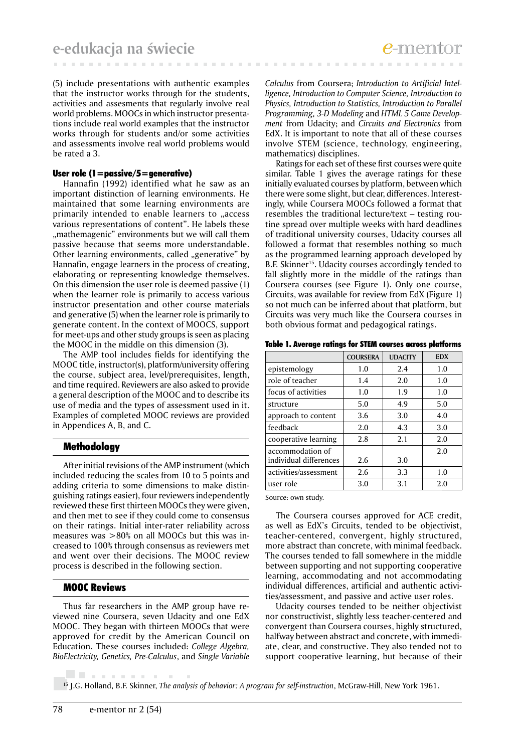(5) include presentations with authentic examples that the instructor works through for the students, activities and assesments that regularly involve real world problems. MOOCs in which instructor presentations include real world examples that the instructor works through for students and/or some activities and assessments involve real world problems would be rated a 3.

## User role (1=passive/5=generative)

Hannafin (1992) identified what he saw as an important distinction of learning environments. He maintained that some learning environments are primarily intended to enable learners to "access various representations of content". He labels these "mathemagenic" environments but we will call them passive because that seems more understandable. Other learning environments, called "generative" by Hannafin, engage learners in the process of creating, elaborating or representing knowledge themselves. On this dimension the user role is deemed passive (1) when the learner role is primarily to access various instructor presentation and other course materials and generative (5) when the learner role is primarily to generate content. In the context of MOOCS, support for meet-ups and other study groups is seen as placing the MOOC in the middle on this dimension (3).

The AMP tool includes fields for identifying the MOOC title, instructor(s), platform/university offering the course, subject area, level/prerequisites, length, and time required. Reviewers are also asked to provide a general description of the MOOC and to describe its use of media and the types of assessment used in it. Examples of completed MOOC reviews are provided in Appendices A, B, and C.

# Methodology

After initial revisions of the AMP instrument (which included reducing the scales from 10 to 5 points and adding criteria to some dimensions to make distinguishing ratings easier), four reviewers independently reviewed these first thirteen MOOCs they were given, and then met to see if they could come to consensus on their ratings. Initial inter-rater reliability across measures was >80% on all MOOCs but this was increased to 100% through consensus as reviewers met and went over their decisions. The MOOC review process is described in the following section.

# MOOC Reviews

Thus far researchers in the AMP group have reviewed nine Coursera, seven Udacity and one EdX MOOC. They began with thirteen MOOCs that were approved for credit by the American Council on Education. These courses included: *College Algebra, BioElectricity, Genetics, Pre-Calculus*, and *Single Variable* 

*Calculus* from Coursera; *Introduction to Artificial Intelligence, Introduction to Computer Science, Introduction to Physics, Introduction to Statistics, Introduction to Parallel Programming, 3-D Modeling* and *HTML 5 Game Development* from Udacity; and *Circuits and Electronics* from EdX. It is important to note that all of these courses involve STEM (science, technology, engineering, mathematics) disciplines.

Ratings for each set of these first courses were quite similar. Table 1 gives the average ratings for these initially evaluated courses by platform, between which there were some slight, but clear, differences. Interestingly, while Coursera MOOCs followed a format that resembles the traditional lecture/text – testing routine spread over multiple weeks with hard deadlines of traditional university courses, Udacity courses all followed a format that resembles nothing so much as the programmed learning approach developed by B.F. Skinner<sup>15</sup>. Udacity courses accordingly tended to fall slightly more in the middle of the ratings than Coursera courses (see Figure 1). Only one course, Circuits, was available for review from EdX (Figure 1) so not much can be inferred about that platform, but Circuits was very much like the Coursera courses in both obvious format and pedagogical ratings.

|  |  |  |  |  |  |  | Table 1. Average ratings for STEM courses across platforms |
|--|--|--|--|--|--|--|------------------------------------------------------------|
|--|--|--|--|--|--|--|------------------------------------------------------------|

|                        | <b>COURSERA</b> | <b>UDACITY</b> | <b>EDX</b> |
|------------------------|-----------------|----------------|------------|
| epistemology           | 1.0             | 2.4            | 1.0        |
| role of teacher        | 1.4             | 2.0            | 1.0        |
| focus of activities    | 1.0             | 1.9            | 1.0        |
| structure              | 5.0             | 4.9            | 5.0        |
| approach to content    | 3.6             | 3.0            | 4.0        |
| feedback               | 2.0             | 4.3            | 3.0        |
| cooperative learning   | 2.8             | 2.1            | 2.0        |
| accommodation of       |                 |                | 2.0        |
| individual differences | 2.6             | 3.0            |            |
| activities/assessment  | 2.6             | 3.3            | 1.0        |
| user role              | 3.0             | 3.1            | 2.0        |

Source: own study.

The Coursera courses approved for ACE credit, as well as EdX's Circuits, tended to be objectivist, teacher-centered, convergent, highly structured, more abstract than concrete, with minimal feedback. The courses tended to fall somewhere in the middle between supporting and not supporting cooperative learning, accommodating and not accommodating individual differences, artificial and authentic activities/assessment, and passive and active user roles.

Udacity courses tended to be neither objectivist nor constructivist, slightly less teacher-centered and convergent than Coursera courses, highly structured, halfway between abstract and concrete, with immediate, clear, and constructive. They also tended not to support cooperative learning, but because of their

15 J.G. Holland, B.F. Skinner, *The analysis of behavior: A program for self-instruction*, McGraw-Hill, New York 1961.

. . . . . . . . .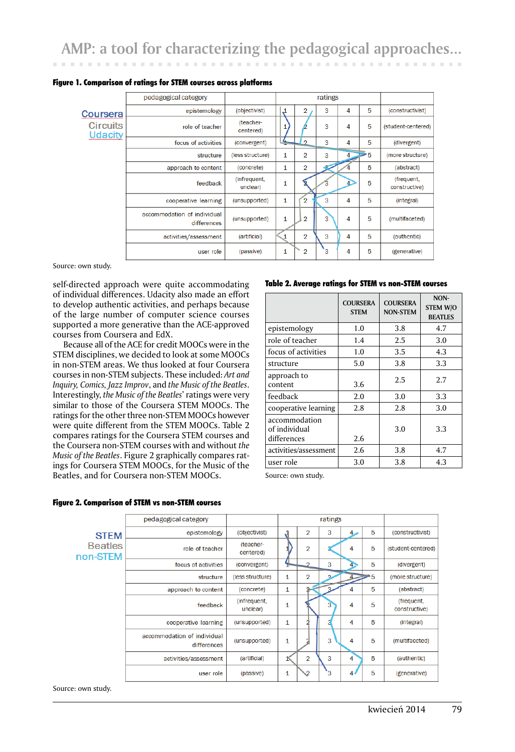|                                   | pedagogical category                       |                          |                |                | ratings |                |    |                             |
|-----------------------------------|--------------------------------------------|--------------------------|----------------|----------------|---------|----------------|----|-----------------------------|
| Coursera                          | epistemology                               | (objectivist)            | $\mathfrak{p}$ | 2              | 3       | 4              | 5  | (constructivist)            |
| <b>Circuits</b><br><b>Udacity</b> | role of teacher                            | (teacher-<br>centered)   |                |                | 3       | 4              | 5  | (student-centered)          |
|                                   | focus of activities                        | (convergent)             | ┶              | $\Omega$       | 3       | 4              | 5  | (divergent)                 |
|                                   | structure                                  | (less structure)         | 1              | $\overline{2}$ | 3       | $\overline{4}$ | ≥5 | (more structure)            |
|                                   | approach to content                        | (concrete)               | 1              | $\overline{2}$ |         |                | 5  | (abstract)                  |
|                                   | feedback                                   | (infrequent,<br>unclear) | 1              |                |         | Δ              | 5  | (frequent,<br>constructive) |
|                                   | cooperative learning                       | (unsupported)            | 1              | $\overline{2}$ | 3       | 4              | 5  | (integral)                  |
|                                   | accommodation of individual<br>differences | (unsupported)            | 1              | $\overline{2}$ | 3       | 4              | 5  | (multifaceted)              |
|                                   | activities/assessment                      | (artificial)             | 1              | $\overline{2}$ | 3       | 4              | 5  | (authentic)                 |
|                                   | user role                                  | (passive)                | 1              | $\overline{2}$ | .ვ      | 4              | 5  | (generative)                |

#### Figure 1. Comparison of ratings for STEM courses across platforms

Source: own study.

self-directed approach were quite accommodating of individual differences. Udacity also made an effort to develop authentic activities, and perhaps because of the large number of computer science courses supported a more generative than the ACE-approved courses from Coursera and EdX.

Because all of the ACE for credit MOOCs were in the STEM disciplines, we decided to look at some MOOCs in non-STEM areas. We thus looked at four Coursera courses in non-STEM subjects. These included: *Art and Inquiry, Comics, Jazz Improv*, and *the Music of the Beatles*. Interestingly, *the Music of the Beatles*' ratings were very similar to those of the Coursera STEM MOOCs. The ratings for the other three non-STEM MOOCs however were quite different from the STEM MOOCs. Table 2 compares ratings for the Coursera STEM courses and the Coursera non-STEM courses with and without *the Music of the Beatles*. Figure 2 graphically compares ratings for Coursera STEM MOOCs, for the Music of the Beatles, and for Coursera non-STEM MOOCs.

#### Table 2. Average ratings for STEM vs non-STEM courses

|                                               | <b>COURSERA</b><br><b>STEM</b> | <b>COURSERA</b><br><b>NON-STEM</b> | NON-<br><b>STEM W/O</b><br><b>BEATLES</b> |
|-----------------------------------------------|--------------------------------|------------------------------------|-------------------------------------------|
| epistemology                                  | 1.0                            | 3.8                                | 4.7                                       |
| role of teacher                               | 1.4                            | 2.5                                | 3.0                                       |
| focus of activities                           | 1.0                            | 3.5                                | 4.3                                       |
| structure                                     | 5.0                            | 3.8                                | 3.3                                       |
| approach to<br>content                        | 3.6                            | 2.5                                | 2.7                                       |
| feedback                                      | 2.0                            | 3.0                                | 3.3                                       |
| cooperative learning                          | 2.8                            | 2.8                                | 3.0                                       |
| accommodation<br>of individual<br>differences | 2.6                            | 3.0                                | 3.3                                       |
| activities/assessment                         | 2.6                            | 3.8                                | 4.7                                       |
| user role                                     | 3.0                            | 3.8                                | 4.3                                       |

Source: own study.

|                            | pedagogical category                       |                          |              |                | ratings |   |   |                             |
|----------------------------|--------------------------------------------|--------------------------|--------------|----------------|---------|---|---|-----------------------------|
| <b>STEM</b>                | epistemology                               | (objectivist)            | $\mathbf{A}$ | 2              | 3       | 4 | 5 | (constructivist)            |
| <b>Beatles</b><br>non-STEM | role of teacher                            | (teacher-<br>centered)   |              | $\overline{2}$ |         | 4 | 5 | (student-centered)          |
|                            | focus of activities                        | (convergent)             | s            | $\Omega$       | 3       |   | 5 | (divergent)                 |
|                            | structure                                  | (less structure)         | 1            | $\overline{2}$ | o       |   | 5 | (more structure)            |
|                            | approach to content                        | (concrete)               | 1            |                | 3       | 4 | 5 | (abstract)                  |
|                            | feedback                                   | (infrequent,<br>unclear) | 1            |                | 3       | 4 | 5 | (frequent,<br>constructive) |
|                            | cooperative learning                       | (unsupported)            | 1            |                |         | 4 | 5 | (integral)                  |
|                            | accommodation of individual<br>differences | (unsupported)            | 1            |                | 3       | 4 | 5 | (multifaceted)              |
|                            | activities/assessment                      | (artificial)             | 1            | $\overline{2}$ | 3       | 4 | 5 | (authentic)                 |
|                            | user role                                  | (passive)                | 1            | 2              | з       | 4 | 5 | (generative)                |

#### Figure 2. Comparison of STEM vs non-STEM courses

Source: own study.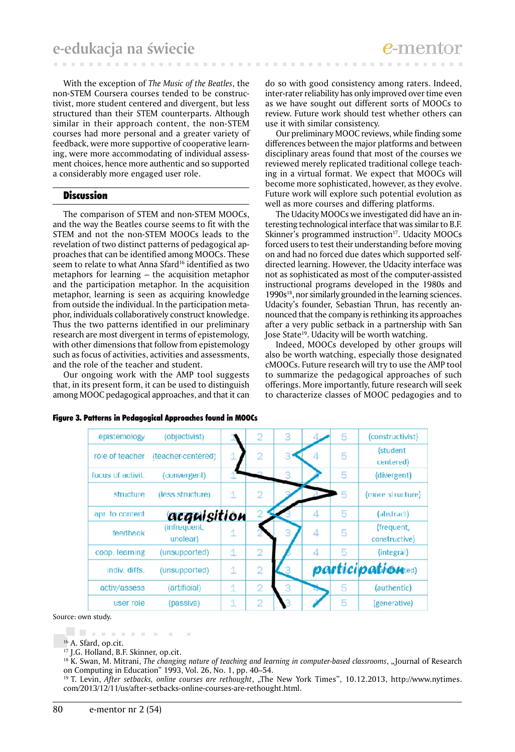With the exception of *The Music of the Beatles*, the non-STEM Coursera courses tended to be constructivist, more student centered and divergent, but less structured than their STEM counterparts. Although similar in their approach content, the non-STEM courses had more personal and a greater variety of feedback, were more supportive of cooperative learning, were more accommodating of individual assessment choices, hence more authentic and so supported a considerably more engaged user role.

# Discussion

The comparison of STEM and non-STEM MOOCs, and the way the Beatles course seems to fit with the STEM and not the non-STEM MOOCs leads to the revelation of two distinct patterns of pedagogical approaches that can be identified among MOOCs. These seem to relate to what Anna Sfard<sup>16</sup> identified as two metaphors for learning – the acquisition metaphor and the participation metaphor. In the acquisition metaphor, learning is seen as acquiring knowledge from outside the individual. In the participation metaphor, individuals collaboratively construct knowledge. Thus the two patterns identified in our preliminary research are most divergent in terms of epistemology, with other dimensions that follow from epistemology such as focus of activities, activities and assessments, and the role of the teacher and student.

Our ongoing work with the AMP tool suggests that, in its present form, it can be used to distinguish among MOOC pedagogical approaches, and that it can do so with good consistency among raters. Indeed, inter-rater reliability has only improved over time even as we have sought out different sorts of MOOCs to review. Future work should test whether others can use it with similar consistency.

Our preliminary MOOC reviews, while finding some differences between the major platforms and between disciplinary areas found that most of the courses we reviewed merely replicated traditional college teaching in a virtual format. We expect that MOOCs will become more sophisticated, however, as they evolve. Future work will explore such potential evolution as well as more courses and differing platforms.

The Udacity MOOCs we investigated did have an interesting technological interface that was similar to B.F. Skinner's programmed instruction<sup>17</sup>. Udacity MOOCs forced users to test their understanding before moving on and had no forced due dates which supported selfdirected learning. However, the Udacity interface was not as sophisticated as most of the computer-assisted instructional programs developed in the 1980s and 1990s<sup>18</sup>, nor similarly grounded in the learning sciences. Udacity's founder, Sebastian Thrun, has recently announced that the company is rethinking its approaches after a very public setback in a partnership with San Jose State<sup>19</sup>. Udacity will be worth watching.

Indeed, MOOCs developed by other groups will also be worth watching, especially those designated cMOOCs. Future research will try to use the AMP tool to summarize the pedagogical approaches of such offerings. More importantly, future research will seek to characterize classes of MOOC pedagogies and to

| epistemology      | (objectivist)            |              | $\overline{2}$ | 3 |   | 5 | (constructivist)            |
|-------------------|--------------------------|--------------|----------------|---|---|---|-----------------------------|
| role of teacher   | (teacher-centered)       |              | $\overline{2}$ |   |   | 5 | (student<br>centered)       |
| focus of activit. | (convergent)             |              |                | 3 |   | 5 | (divergent)                 |
| structure         | (less structure)         | $\mathbf{1}$ | $\overline{2}$ |   |   | 5 | (more structure)            |
| apr to content    | acquisition              |              |                |   | 4 | 5 | (abstract)                  |
| feedback          | (infrequent,<br>unclear) | 1            |                | 3 | 4 | 5 | (frequent,<br>constructive) |
| coop. learning    | (unsupported)            | 1            | $\overline{2}$ |   | 4 | 5 | (integral)                  |
| indiv. diffs.     | (unsupported)            | $\mathbf{1}$ | $\overline{2}$ |   |   |   | participationted)           |
| activ/assess      | <i>(artificial)</i>      | 1            | $\overline{2}$ | 3 |   | 5 | (authentic)                 |
| user role         | (passive)                | 1            | $\overline{2}$ |   |   | 5 | (generative)                |

Figure 3. Patterns in Pedagogical Approaches found in MOOCs

Source: own study.

. . . . . . . . .

<sup>16</sup> A. Sfard, op.cit.

<sup>17</sup> J.G. Holland, B.F. Skinner, op.cit.

<sup>&</sup>lt;sup>18</sup> K. Swan, M. Mitrani, *The changing nature of teaching and learning in computer-based classrooms*, "Journal of Research on Computing in Education" 1993, Vol. 26, No. 1, pp. 40–54.

<sup>&</sup>lt;sup>19</sup> T. Levin, *After setbacks, online courses are rethought*, "The New York Times", 10.12.2013, http://www.nytimes. com/2013/12/11/us/after-setbacks-online-courses-are-rethought.html.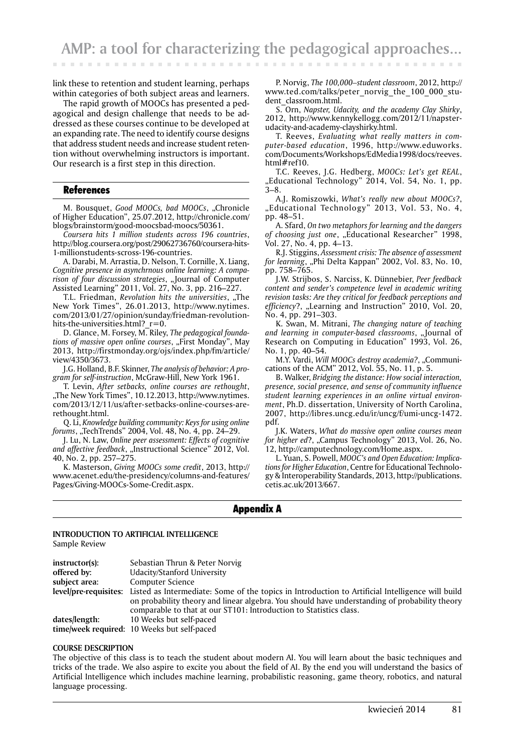link these to retention and student learning, perhaps within categories of both subject areas and learners.

The rapid growth of MOOCs has presented a pedagogical and design challenge that needs to be addressed as these courses continue to be developed at an expanding rate. The need to identify course designs that address student needs and increase student retention without overwhelming instructors is important. Our research is a first step in this direction.

# References

M. Bousquet, *Good MOOCs*, *bad MOOCs*, "Chronicle of Higher Education", 25.07.2012, http://chronicle.com/ blogs/brainstorm/good-moocsbad-moocs/50361.

*Coursera hits 1 million students across 196 countries*, http://blog.coursera.org/post/29062736760/coursera-hits-1-millionstudents-scross-196-countries.

A. Darabi, M. Arrastia, D. Nelson, T. Cornille, X. Liang, *Cognitive presence in asynchrnous online learning: A comparison of four discussion strategies*, "Journal of Computer Assisted Learning" 2011, Vol. 27, No. 3, pp. 216–227.

T.L. Friedman, *Revolution hits the universities*, "The New York Times", 26.01.2013, http://www.nytimes. com/2013/01/27/opinion/sunday/friedman-revolutionhits-the-universities.html?  $r=0$ .

D. Glance, M. Forsey, M. Riley, *The pedagogical founda*tions of massive open online courses, "First Monday", May 2013, http://firstmonday.org/ojs/index.php/fm/article/ view/4350/3673.

J.G. Holland, B.F. Skinner, *The analysis of behavior: A program for self-instruction*, McGraw-Hill, New York 1961.

T. Levin, *After setbacks, online courses are rethought*, "The New York Times", 10.12.2013, http://www.nytimes. com/2013/12/11/us/after-setbacks-online-courses-arerethought.html.

Q. Li, *Knowledge building community: Keys for using online forums*, "TechTrends" 2004, Vol. 48, No. 4, pp. 24-29.

J. Lu, N. Law, *Online peer assessment: Effects of cognitive*  and affective feedback, "Instructional Science" 2012, Vol. 40, No. 2, pp. 257–275.

K. Masterson, *Giving MOOCs some credit*, 2013, http:// www.acenet.edu/the-presidency/columns-and-features/ Pages/Giving-MOOCs-Some-Credit.aspx.

P. Norvig, *The 100,000–student classroom*, 2012, http:// www.ted.com/talks/peter\_norvig\_the\_100\_000\_student\_classroom.html.

S. Orn, *Napster, Udacity, and the academy Clay Shirky*, 2012, http://www.kennykellogg.com/2012/11/napsterudacity-and-academy-clayshirky.html.

T. Reeves, *Evaluating what really matters in computer-based education*, 1996, http://www.eduworks. com/Documents/Workshops/EdMedia1998/docs/reeves. html#ref10.

T.C. Reeves, J.G. Hedberg, *MOOCs: Let's get REAL*, "Educational Technology" 2014, Vol. 54, No. 1, pp. 3–8.

A.J. Romiszowki, *What's really new about MOOCs?*, "Educational Technology" 2013, Vol. 53, No. 4, pp. 48–51.

A. Sfard, *On two metaphors for learning and the dangers*  of choosing just one, "Educational Researcher" 1998, Vol. 27, No. 4, pp. 4–13.

R.J. Stiggins, *Assessment crisis: The absence of assessment*  for learning, "Phi Delta Kappan" 2002, Vol. 83, No. 10, pp. 758–765.

J.W. Strijbos, S. Narciss, K. Dünnebier, *Peer feedback content and sender's competence level in academic writing revision tasks: Are they critical for feedback perceptions and efficiency*?, "Learning and Instruction" 2010, Vol. 20, No. 4, pp. 291–303.

K. Swan, M. Mitrani, *The changing nature of teaching and learning in computer-based classrooms*, "Journal of Research on Computing in Education" 1993, Vol. 26, No. 1, pp. 40–54.

M.Y. Vardi, *Will MOOCs destroy academia?*, "Communications of the ACM" 2012, Vol. 55, No. 11, p. 5.

B. Walker, *Bridging the distance: How social interaction, presence, social presence, and sense of community influence student learning experiences in an online virtual environment*, Ph.D. dissertation, University of North Carolina, 2007, http://libres.uncg.edu/ir/uncg/f/umi-uncg-1472. pdf.

J.K. Waters, *What do massive open online courses mean for higher ed*?, "Campus Technology" 2013, Vol. 26, No. 12, http://camputechnology.com/Home.aspx.

L. Yuan, S. Powell, *MOOC's and Open Education: Implications for Higher Education*, Centre for Educational Technology & Interoperability Standards, 2013, http://publications. cetis.ac.uk/2013/667.

# Appendix A

#### **INTRODUCTION TO ARTIFICIAL INTELLIGENCE** Sample Review

| instructor(s): | Sebastian Thrun & Peter Norvig                                                                                         |
|----------------|------------------------------------------------------------------------------------------------------------------------|
| offered by:    | Udacity/Stanford University                                                                                            |
| subject area:  | <b>Computer Science</b>                                                                                                |
|                | level/pre-requisites: Listed as Intermediate: Some of the topics in Introduction to Artificial Intelligence will build |
|                | on probability theory and linear algebra. You should have understanding of probability theory                          |
|                | comparable to that at our ST101: Introduction to Statistics class.                                                     |
| dates/length:  | 10 Weeks but self-paced                                                                                                |
|                | time/week required: 10 Weeks but self-paced                                                                            |

#### **COURSE DESCRIPTION**

The objective of this class is to teach the student about modern AI. You will learn about the basic techniques and tricks of the trade. We also aspire to excite you about the field of AI. By the end you will understand the basics of Artificial Intelligence which includes machine learning, probabilistic reasoning, game theory, robotics, and natural language processing.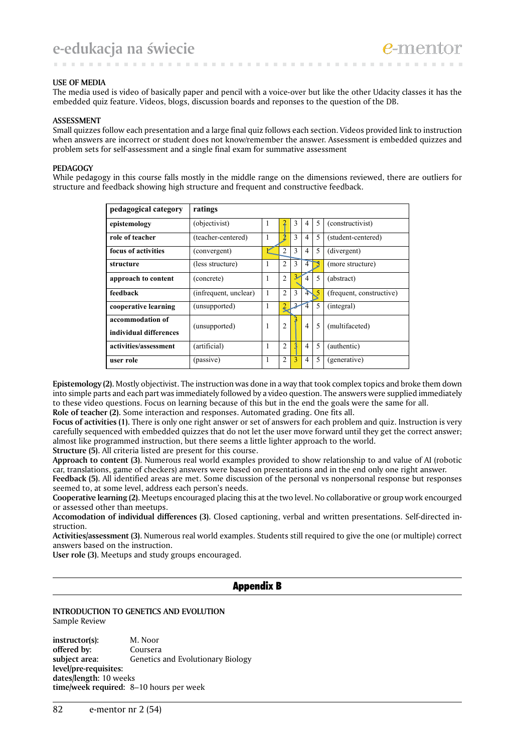#### **USE OF MEDIA**

The media used is video of basically paper and pencil with a voice-over but like the other Udacity classes it has the embedded quiz feature. Videos, blogs, discussion boards and reponses to the question of the DB.

. . . . . . . .

#### **ASSESSMENT**

Small quizzes follow each presentation and a large final quiz follows each section. Videos provided link to instruction when answers are incorrect or student does not know/remember the answer. Assessment is embedded quizzes and problem sets for self-assessment and a single final exam for summative assessment

#### **PEDAGOGY**

While pedagogy in this course falls mostly in the middle range on the dimensions reviewed, there are outliers for structure and feedback showing high structure and frequent and constructive feedback.

| pedagogical category                       | ratings               |   |                |   |                |   |                          |
|--------------------------------------------|-----------------------|---|----------------|---|----------------|---|--------------------------|
| epistemology                               | (objectivist)         | 1 | 2              | 3 | 4              | 5 | (constructivist)         |
| role of teacher                            | (teacher-centered)    | 1 |                | 3 | 4              | 5 | (student-centered)       |
| focus of activities                        | (convergent)          |   | $\overline{2}$ | 3 | $\overline{4}$ | 5 | (divergent)              |
| structure                                  | (less structure)      | 1 | $\overline{2}$ | 3 | $\overline{4}$ |   | (more structure)         |
| approach to content                        | (concrete)            | 1 | $\overline{2}$ | 3 | 4              | 5 | (abstract)               |
| feedback                                   | (infrequent, unclear) | 1 | $\overline{2}$ | 3 | 4              | 5 | (frequent, constructive) |
| cooperative learning                       | (unsupported)         | 1 | 2              |   | 4              | 5 | (integral)               |
| accommodation of<br>individual differences | (unsupported)         | 1 | $\overline{2}$ |   | $\overline{4}$ | 5 | (multifaceted)           |
| activities/assessment                      | (artificial)          | 1 | $\overline{2}$ |   | $\overline{4}$ | 5 | (authentic)              |
| user role                                  | (passive)             | 1 | $\overline{2}$ | 3 | $\overline{4}$ | 5 | (generative)             |

**Epistemology (2).** Mostly objectivist. The instruction was done in a way that took complex topics and broke them down into simple parts and each part was immediately followed by a video question. The answers were supplied immediately to these video questions. Focus on learning because of this but in the end the goals were the same for all. **Role of teacher (2).** Some interaction and responses. Automated grading. One fits all.

**Focus of activities (1).** There is only one right answer or set of answers for each problem and quiz. Instruction is very carefully sequenced with embedded quizzes that do not let the user move forward until they get the correct answer; almost like programmed instruction, but there seems a little lighter approach to the world.

**Structure (5).** All criteria listed are present for this course.

**Approach to content (3).** Numerous real world examples provided to show relationship to and value of AI (robotic car, translations, game of checkers) answers were based on presentations and in the end only one right answer.

Feedback (5). All identified areas are met. Some discussion of the personal vs nonpersonal response but responses seemed to, at some level, address each person's needs.

**Cooperative learning (2).** Meetups encouraged placing this at the two level. No collaborative or group work encourged or assessed other than meetups.

**Accomodation of individual differences (3).** Closed captioning, verbal and written presentations. Self-directed instruction.

**Activities/assessment (3).** Numerous real world examples. Students still required to give the one (or multiple) correct answers based on the instruction.

**User role (3).** Meetups and study groups encouraged.

# Appendix B

#### **INTRODUCTION TO GENETICS AND EVOLUTION** Sample Review

**instructor(s):** M. Noor **offered by:** Coursera subject area: Genetics and Evolutionary Biology **level/pre-requisites: dates/length:** 10 weeks **time/week required:** 8–10 hours per week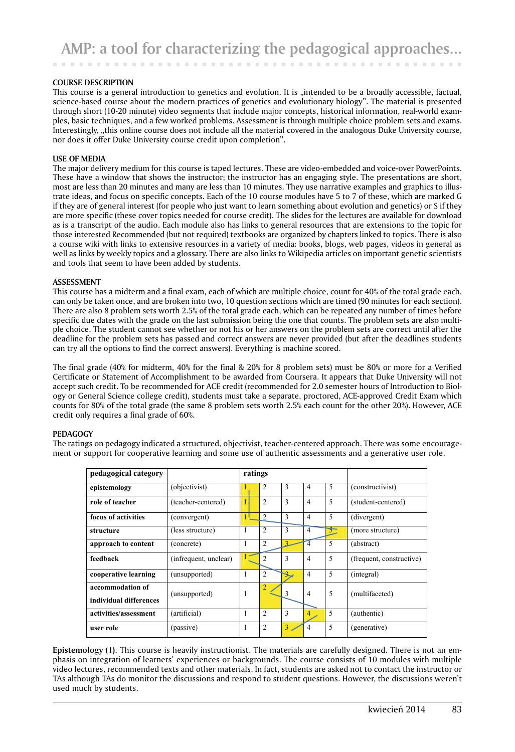and the con-

#### **COURSE DESCRIPTION**

This course is a general introduction to genetics and evolution. It is "intended to be a broadly accessible, factual, science-based course about the modern practices of genetics and evolutionary biology". The material is presented through short (10-20 minute) video segments that include major concepts, historical information, real-world examples, basic techniques, and a few worked problems. Assessment is through multiple choice problem sets and exams. Interestingly, "this online course does not include all the material covered in the analogous Duke University course, nor does it offer Duke University course credit upon completion".

#### **USE OF MEDIA**

The major delivery medium for this course is taped lectures. These are video-embedded and voice-over PowerPoints. These have a window that shows the instructor; the instructor has an engaging style. The presentations are short, most are less than 20 minutes and many are less than 10 minutes. They use narrative examples and graphics to illustrate ideas, and focus on specific concepts. Each of the 10 course modules have 5 to 7 of these, which are marked G if they are of general interest (for people who just want to learn something about evolution and genetics) or S if they are more specific (these cover topics needed for course credit). The slides for the lectures are available for download as is a transcript of the audio. Each module also has links to general resources that are extensions to the topic for those interested Recommended (but not required) textbooks are organized by chapters linked to topics. There is also a course wiki with links to extensive resources in a variety of media: books, blogs, web pages, videos in general as well as links by weekly topics and a glossary. There are also links to Wikipedia articles on important genetic scientists and tools that seem to have been added by students.

#### **ASSESSMENT**

This course has a midterm and a final exam, each of which are multiple choice, count for 40% of the total grade each, can only be taken once, and are broken into two, 10 question sections which are timed (90 minutes for each section). There are also 8 problem sets worth 2.5% of the total grade each, which can be repeated any number of times before specific due dates with the grade on the last submission being the one that counts. The problem sets are also multiple choice. The student cannot see whether or not his or her answers on the problem sets are correct until after the deadline for the problem sets has passed and correct answers are never provided (but after the deadlines students can try all the options to find the correct answers). Everything is machine scored.

The final grade (40% for midterm, 40% for the final & 20% for 8 problem sets) must be 80% or more for a Verified Certificate or Statement of Accomplishment to be awarded from Coursera. It appears that Duke University will not accept such credit. To be recommended for ACE credit (recommended for 2.0 semester hours of Introduction to Biology or General Science college credit), students must take a separate, proctored, ACE-approved Credit Exam which counts for 80% of the total grade (the same 8 problem sets worth 2.5% each count for the other 20%). However, ACE credit only requires a final grade of 60%.

#### **PEDAGOGY**

The ratings on pedagogy indicated a structured, objectivist, teacher-centered approach. There was some encouragement or support for cooperative learning and some use of authentic assessments and a generative user role.

| pedagogical category                       |                       | ratings |                |              |                |   |                          |
|--------------------------------------------|-----------------------|---------|----------------|--------------|----------------|---|--------------------------|
| epistemology                               | (objectivist)         |         | 2              | 3            | $\overline{4}$ | 5 | (constructivist)         |
| role of teacher                            | (teacher-centered)    |         | $\overline{c}$ | 3            | $\overline{4}$ | 5 | (student-centered)       |
| focus of activities                        | (convergent)          |         | 2              | $\mathbf{3}$ | $\overline{4}$ | 5 | (divergent)              |
| structure                                  | (less structure)      | 1       | $\overline{2}$ | 3            | $\overline{4}$ | ᢌ | (more structure)         |
| approach to content                        | (concrete)            | 1       | $\overline{c}$ |              |                | 5 | (abstract)               |
| feedback                                   | (infrequent, unclear) |         | 2              | 3            | $\overline{4}$ | 5 | (frequent, constructive) |
| cooperative learning                       | (unsupported)         | 1       | $\overline{2}$ |              | $\overline{4}$ | 5 | (integral)               |
| accommodation of<br>individual differences | (unsupported)         | 1       | $\overline{2}$ | 3            | $\overline{4}$ | 5 | (multifaceted)           |
| activities/assessment                      | (artificial)          | 1       | $\overline{c}$ | 3            | 4              | 5 | (authentic)              |
| user role                                  | (passive)             | 1       | $\overline{2}$ | 3            | 4              | 5 | (generative)             |

**Epistemology (1).** This course is heavily instructionist. The materials are carefully designed. There is not an emphasis on integration of learners' experiences or backgrounds. The course consists of 10 modules with multiple video lectures, recommended texts and other materials. In fact, students are asked not to contact the instructor or TAs although TAs do monitor the discussions and respond to student questions. However, the discussions weren't used much by students.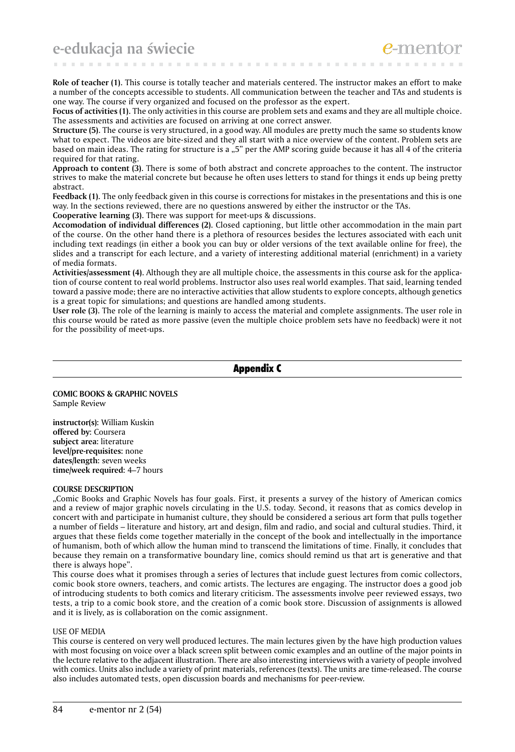**e-edukacja na świecie**

**Role of teacher (1).** This course is totally teacher and materials centered. The instructor makes an effort to make a number of the concepts accessible to students. All communication between the teacher and TAs and students is one way. The course if very organized and focused on the professor as the expert.

**CONTRACTOR** 

**Focus of activities (1).** The only activities in this course are problem sets and exams and they are all multiple choice. The assessments and activities are focused on arriving at one correct answer.

**Structure (5).** The course is very structured, in a good way. All modules are pretty much the same so students know what to expect. The videos are bite-sized and they all start with a nice overview of the content. Problem sets are based on main ideas. The rating for structure is a "5" per the AMP scoring guide because it has all 4 of the criteria required for that rating.

**Approach to content (3).** There is some of both abstract and concrete approaches to the content. The instructor strives to make the material concrete but because he often uses letters to stand for things it ends up being pretty abstract.

Feedback (1). The only feedback given in this course is corrections for mistakes in the presentations and this is one way. In the sections reviewed, there are no questions answered by either the instructor or the TAs.

**Cooperative learning (3).** There was support for meet-ups & discussions.

**Accomodation of individual differences (2).** Closed captioning, but little other accommodation in the main part of the course. On the other hand there is a plethora of resources besides the lectures associated with each unit including text readings (in either a book you can buy or older versions of the text available online for free), the slides and a transcript for each lecture, and a variety of interesting additional material (enrichment) in a variety of media formats.

**Activities/assessment (4).** Although they are all multiple choice, the assessments in this course ask for the application of course content to real world problems. Instructor also uses real world examples. That said, learning tended toward a passive mode; there are no interactive activities that allow students to explore concepts, although genetics is a great topic for simulations; and questions are handled among students.

**User role (3).** The role of the learning is mainly to access the material and complete assignments. The user role in this course would be rated as more passive (even the multiple choice problem sets have no feedback) were it not for the possibility of meet-ups.

Appendix C

#### **COMIC BOOKS & GRAPHIC NOVELS** Sample Review

**instructor(s):** William Kuskin **offered by:** Coursera **subject area:** literature **level/pre-requisites:** none **dates/length:** seven weeks **time/week required:** 4–7 hours

#### **COURSE DESCRIPTION**

"Comic Books and Graphic Novels has four goals. First, it presents a survey of the history of American comics and a review of major graphic novels circulating in the U.S. today. Second, it reasons that as comics develop in concert with and participate in humanist culture, they should be considered a serious art form that pulls together a number of fields – literature and history, art and design, film and radio, and social and cultural studies. Third, it argues that these fields come together materially in the concept of the book and intellectually in the importance of humanism, both of which allow the human mind to transcend the limitations of time. Finally, it concludes that because they remain on a transformative boundary line, comics should remind us that art is generative and that there is always hope".

This course does what it promises through a series of lectures that include guest lectures from comic collectors, comic book store owners, teachers, and comic artists. The lectures are engaging. The instructor does a good job of introducing students to both comics and literary criticism. The assessments involve peer reviewed essays, two tests, a trip to a comic book store, and the creation of a comic book store. Discussion of assignments is allowed and it is lively, as is collaboration on the comic assignment.

#### USE OF MEDIA

This course is centered on very well produced lectures. The main lectures given by the have high production values with most focusing on voice over a black screen split between comic examples and an outline of the major points in the lecture relative to the adjacent illustration. There are also interesting interviews with a variety of people involved with comics. Units also include a variety of print materials, references (texts). The units are time-released. The course also includes automated tests, open discussion boards and mechanisms for peer-review.